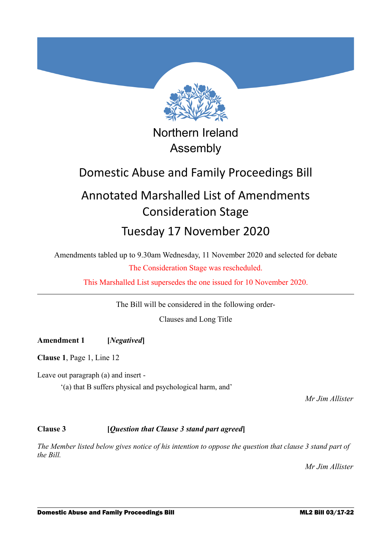

## Northern Ireland Assembly

## Domestic Abuse and Family Proceedings Bill

# Annotated Marshalled List of Amendments Consideration Stage

### Tuesday 17 November 2020

Amendments tabled up to 9.30am Wednesday, 11 November 2020 and selected for debate The Consideration Stage was rescheduled.

This Marshalled List supersedes the one issued for 10 November 2020.

The Bill will be considered in the following order-

Clauses and Long Title

**Amendment 1 [***Negatived***]**

**Clause 1**, Page 1, Line 12

Leave out paragraph (a) and insert -

'(a) that B suffers physical and psychological harm, and'

*Mr Jim Allister*

### **Clause 3 [***Question that Clause 3 stand part agreed***]**

*The Member listed below gives notice of his intention to oppose the question that clause 3 stand part of the Bill.*

*Mr Jim Allister*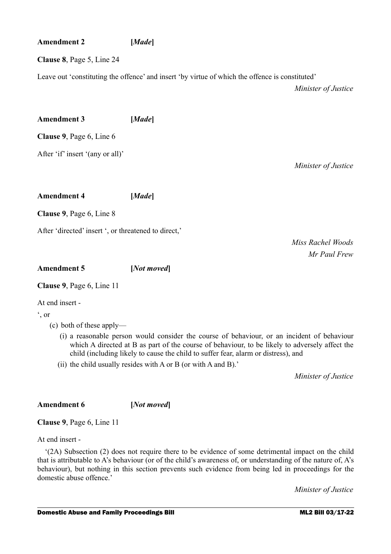#### **Amendment 2 [***Made***]**

**Clause 8**, Page 5, Line 24

Leave out 'constituting the offence' and insert 'by virtue of which the offence is constituted'

*Minister of Justice*

| <b>Amendment 3</b>               | [Male]                                               |                     |
|----------------------------------|------------------------------------------------------|---------------------|
| Clause 9, Page 6, Line 6         |                                                      |                     |
| After 'if' insert '(any or all)' |                                                      |                     |
|                                  |                                                      | Minister of Justice |
|                                  |                                                      |                     |
| <b>Amendment 4</b>               | [Male]                                               |                     |
| Clause 9, Page 6, Line 8         |                                                      |                     |
|                                  | After 'directed' insert ', or threatened to direct,' |                     |
|                                  |                                                      | Miss Rachel Woods   |
|                                  |                                                      | Mr Paul Frew        |
| <b>Amendment 5</b>               | [Not moved]                                          |                     |
| Clause 9, Page 6, Line 11        |                                                      |                     |
| At end insert -                  |                                                      |                     |
| ', or                            |                                                      |                     |

- (c) both of these apply—
	- (i) a reasonable person would consider the course of behaviour, or an incident of behaviour which A directed at B as part of the course of behaviour, to be likely to adversely affect the child (including likely to cause the child to suffer fear, alarm or distress), and
	- (ii) the child usually resides with A or B (or with A and B).'

*Minister of Justice*

**Amendment 6 [***Not moved***]**

**Clause 9**, Page 6, Line 11

At end insert -

'(2A) Subsection (2) does not require there to be evidence of some detrimental impact on the child that is attributable to A's behaviour (or of the child's awareness of, or understanding of the nature of, A's behaviour), but nothing in this section prevents such evidence from being led in proceedings for the domestic abuse offence.'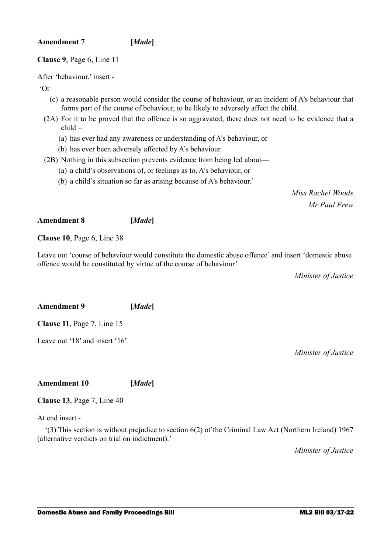#### **Amendment 7 [***Made***]**

**Clause 9**, Page 6, Line 11

After 'behaviour.' insert -

'Or

- (c) a reasonable person would consider the course of behaviour, or an incident of A's behaviour that forms part of the course of behaviour, to be likely to adversely affect the child.
- (2A) For it to be proved that the offence is so aggravated, there does not need to be evidence that a child –
	- (a) has ever had any awareness or understanding of A's behaviour, or
	- (b) has ever been adversely affected by A's behaviour.
- (2B) Nothing in this subsection prevents evidence from being led about—
	- (a) a child's observations of, or feelings as to, A's behaviour, or
	- (b) a child's situation so far as arising because of A's behaviour.'

*Miss Rachel Woods Mr Paul Frew*

**Amendment 8 [***Made***]**

**Clause 10**, Page 6, Line 38

Leave out 'course of behaviour would constitute the domestic abuse offence' and insert 'domestic abuse offence would be constituted by virtue of the course of behaviour'

*Minister of Justice*

**Amendment 9 [***Made***]**

**Clause 11**, Page 7, Line 15

Leave out '18' and insert '16'

*Minister of Justice*

**Amendment 10 [***Made***]**

**Clause 13**, Page 7, Line 40

At end insert -

'(3) This section is without prejudice to section 6(2) of the Criminal Law Act (Northern Ireland) 1967 (alternative verdicts on trial on indictment).'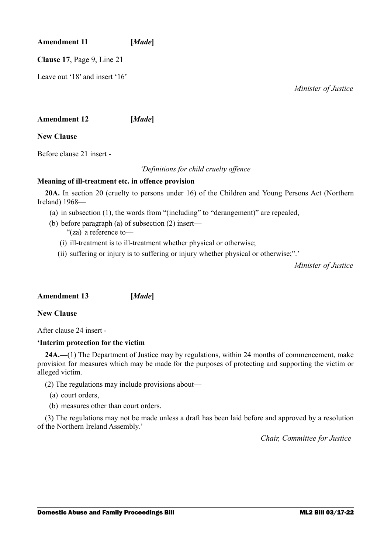#### **Amendment 11 [***Made***]**

**Clause 17**, Page 9, Line 21

Leave out '18' and insert '16'

*Minister of Justice*

**Amendment 12 [***Made***]**

**New Clause**

Before clause 21 insert -

*'Definitions for child cruelty offence*

#### **Meaning of ill-treatment etc. in offence provision**

**20A.** In section 20 (cruelty to persons under 16) of the Children and Young Persons Act (Northern Ireland) 1968—

(a) in subsection (1), the words from "(including" to "derangement)" are repealed,

(b) before paragraph (a) of subsection (2) insert—

"(za) a reference to—

- (i) ill-treatment is to ill-treatment whether physical or otherwise;
- (ii) suffering or injury is to suffering or injury whether physical or otherwise;".'

*Minister of Justice*

**Amendment 13 [***Made***]**

**New Clause**

After clause 24 insert -

#### **'Interim protection for the victim**

**24A.—**(1) The Department of Justice may by regulations, within 24 months of commencement, make provision for measures which may be made for the purposes of protecting and supporting the victim or alleged victim.

(2) The regulations may include provisions about—

(a) court orders,

(b) measures other than court orders.

(3) The regulations may not be made unless a draft has been laid before and approved by a resolution of the Northern Ireland Assembly.'

*Chair, Committee for Justice*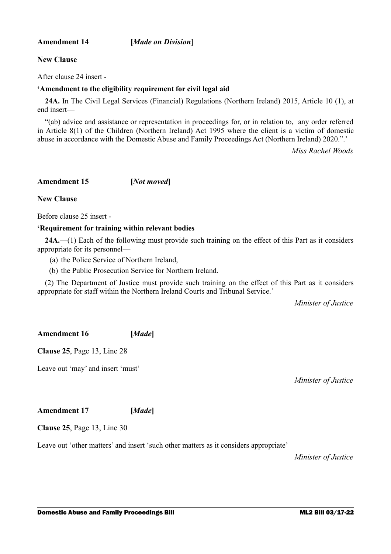**Amendment 14 [***Made on Division***]**

#### **New Clause**

After clause 24 insert -

#### **'Amendment to the eligibility requirement for civil legal aid**

**24A.** In The Civil Legal Services (Financial) Regulations (Northern Ireland) 2015, Article 10 (1), at end insert—

"(ab) advice and assistance or representation in proceedings for, or in relation to, any order referred in Article 8(1) of the Children (Northern Ireland) Act 1995 where the client is a victim of domestic abuse in accordance with the Domestic Abuse and Family Proceedings Act (Northern Ireland) 2020.".'

*Miss Rachel Woods*

**Amendment 15 [***Not moved***]**

**New Clause**

Before clause 25 insert -

#### **'Requirement for training within relevant bodies**

**24A.—**(1) Each of the following must provide such training on the effect of this Part as it considers appropriate for its personnel—

(a) the Police Service of Northern Ireland,

(b) the Public Prosecution Service for Northern Ireland.

(2) The Department of Justice must provide such training on the effect of this Part as it considers appropriate for staff within the Northern Ireland Courts and Tribunal Service.'

*Minister of Justice*

**Amendment 16 [***Made***]**

**Clause 25**, Page 13, Line 28

Leave out 'may' and insert 'must'

*Minister of Justice*

**Amendment 17 [***Made***]**

**Clause 25**, Page 13, Line 30

Leave out 'other matters' and insert 'such other matters as it considers appropriate'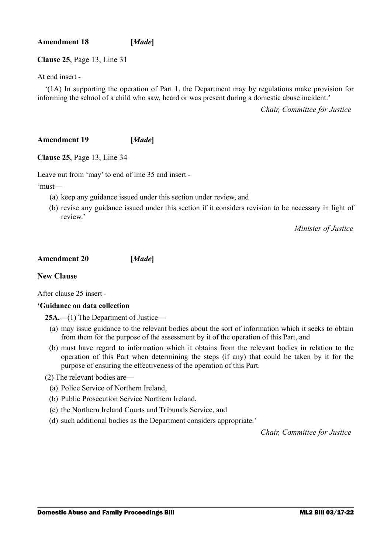#### **Amendment 18 [***Made***]**

**Clause 25**, Page 13, Line 31

At end insert -

'(1A) In supporting the operation of Part 1, the Department may by regulations make provision for informing the school of a child who saw, heard or was present during a domestic abuse incident.'

*Chair, Committee for Justice* 

#### **Amendment 19 [***Made***]**

**Clause 25**, Page 13, Line 34

Leave out from 'may' to end of line 35 and insert -

'must—

- (a) keep any guidance issued under this section under review, and
- (b) revise any guidance issued under this section if it considers revision to be necessary in light of review.'

*Minister of Justice*

| <b>Amendment 20</b> | [Male] |
|---------------------|--------|
|                     |        |

#### **New Clause**

After clause 25 insert -

#### **'Guidance on data collection**

**25A.—**(1) The Department of Justice—

- (a) may issue guidance to the relevant bodies about the sort of information which it seeks to obtain from them for the purpose of the assessment by it of the operation of this Part, and
- (b) must have regard to information which it obtains from the relevant bodies in relation to the operation of this Part when determining the steps (if any) that could be taken by it for the purpose of ensuring the effectiveness of the operation of this Part.

(2) The relevant bodies are—

- (a) Police Service of Northern Ireland,
- (b) Public Prosecution Service Northern Ireland,
- (c) the Northern Ireland Courts and Tribunals Service, and
- (d) such additional bodies as the Department considers appropriate.'

*Chair, Committee for Justice*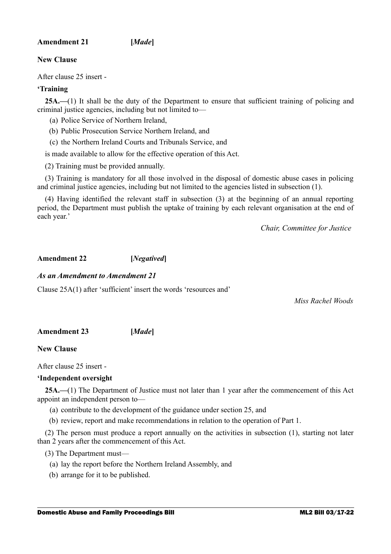#### **Amendment 21 [***Made***]**

#### **New Clause**

After clause 25 insert -

#### **'Training**

**25A.—**(1) It shall be the duty of the Department to ensure that sufficient training of policing and criminal justice agencies, including but not limited to—

(a) Police Service of Northern Ireland,

- (b) Public Prosecution Service Northern Ireland, and
- (c) the Northern Ireland Courts and Tribunals Service, and

is made available to allow for the effective operation of this Act.

(2) Training must be provided annually.

(3) Training is mandatory for all those involved in the disposal of domestic abuse cases in policing and criminal justice agencies, including but not limited to the agencies listed in subsection (1).

(4) Having identified the relevant staff in subsection (3) at the beginning of an annual reporting period, the Department must publish the uptake of training by each relevant organisation at the end of each year.'

*Chair, Committee for Justice* 

#### **Amendment 22 [***Negatived***]**

#### *As an Amendment to Amendment 21*

Clause 25A(1) after 'sufficient' insert the words 'resources and'

*Miss Rachel Woods*

**Amendment 23 [***Made***]**

**New Clause**

After clause 25 insert -

#### **'Independent oversight**

**25A.—**(1) The Department of Justice must not later than 1 year after the commencement of this Act appoint an independent person to—

(a) contribute to the development of the guidance under section 25, and

(b) review, report and make recommendations in relation to the operation of Part 1.

(2) The person must produce a report annually on the activities in subsection (1), starting not later than 2 years after the commencement of this Act.

(3) The Department must—

- (a) lay the report before the Northern Ireland Assembly, and
- (b) arrange for it to be published.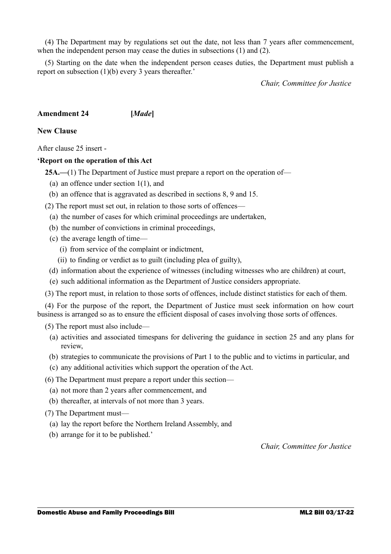(4) The Department may by regulations set out the date, not less than 7 years after commencement, when the independent person may cease the duties in subsections (1) and (2).

(5) Starting on the date when the independent person ceases duties, the Department must publish a report on subsection (1)(b) every 3 years thereafter.'

*Chair, Committee for Justice* 

**Amendment 24 [***Made***]**

**New Clause**

After clause 25 insert -

#### **'Report on the operation of this Act**

**25A.—**(1) The Department of Justice must prepare a report on the operation of—

- (a) an offence under section 1(1), and
- (b) an offence that is aggravated as described in sections 8, 9 and 15.
- (2) The report must set out, in relation to those sorts of offences—
	- (a) the number of cases for which criminal proceedings are undertaken,
	- (b) the number of convictions in criminal proceedings,
	- (c) the average length of time—
		- (i) from service of the complaint or indictment,
		- (ii) to finding or verdict as to guilt (including plea of guilty),
	- (d) information about the experience of witnesses (including witnesses who are children) at court,
	- (e) such additional information as the Department of Justice considers appropriate.

(3) The report must, in relation to those sorts of offences, include distinct statistics for each of them.

(4) For the purpose of the report, the Department of Justice must seek information on how court business is arranged so as to ensure the efficient disposal of cases involving those sorts of offences.

(5) The report must also include—

- (a) activities and associated timespans for delivering the guidance in section 25 and any plans for review,
- (b) strategies to communicate the provisions of Part 1 to the public and to victims in particular, and
- (c) any additional activities which support the operation of the Act.
- (6) The Department must prepare a report under this section—
	- (a) not more than 2 years after commencement, and
	- (b) thereafter, at intervals of not more than 3 years.
- (7) The Department must—
	- (a) lay the report before the Northern Ireland Assembly, and
	- (b) arrange for it to be published.'

*Chair, Committee for Justice*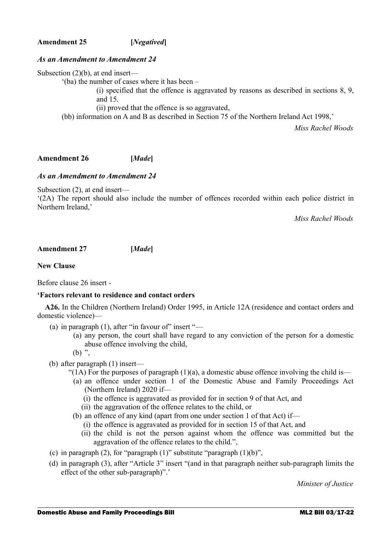#### **Amendment 25 [***Negatived***]**

#### *As an Amendment to Amendment 24*

Subsection (2)(b), at end insert—

'(ba) the number of cases where it has been –

(i) specified that the offence is aggravated by reasons as described in sections 8, 9, and 15.

(ii) proved that the offence is so aggravated,

(bb) information on A and B as described in Section 75 of the Northern Ireland Act 1998,'

*Miss Rachel Woods*

#### **Amendment 26 [***Made***]**

#### *As an Amendment to Amendment 24*

Subsection (2), at end insert—

'(2A) The report should also include the number of offences recorded within each police district in Northern Ireland,'

*Miss Rachel Woods*

**Amendment 27 [***Made***]**

**New Clause**

Before clause 26 insert -

#### **'Factors relevant to residence and contact orders**

**A26.** In the Children (Northern Ireland) Order 1995, in Article 12A (residence and contact orders and domestic violence)—

- (a) in paragraph  $(1)$ , after "in favour of" insert "—
	- (a) any person, the court shall have regard to any conviction of the person for a domestic abuse offence involving the child,
	- (b) ",
- (b) after paragraph (1) insert—
	- "(1A) For the purposes of paragraph  $(1)(a)$ , a domestic abuse offence involving the child is—
	- (a) an offence under section 1 of the Domestic Abuse and Family Proceedings Act (Northern Ireland) 2020 if—
		- (i) the offence is aggravated as provided for in section 9 of that Act, and
		- (ii) the aggravation of the offence relates to the child, or
	- (b) an offence of any kind (apart from one under section 1 of that Act) if—
		- (i) the offence is aggravated as provided for in section 15 of that Act, and
		- (ii) the child is not the person against whom the offence was committed but the aggravation of the offence relates to the child.",
- (c) in paragraph  $(2)$ , for "paragraph  $(1)$ " substitute "paragraph  $(1)(b)$ ",
- (d) in paragraph (3), after "Article 3" insert "(and in that paragraph neither sub-paragraph limits the effect of the other sub-paragraph)".'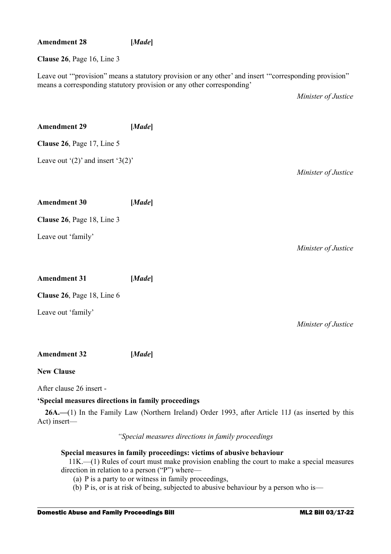#### **Amendment 28 [***Made***]**

#### **Clause 26**, Page 16, Line 3

Leave out ""provision" means a statutory provision or any other' and insert ""corresponding provision" means a corresponding statutory provision or any other corresponding'

*Minister of Justice*

| <b>Amendment 29</b>               | [Male]          |
|-----------------------------------|-----------------|
| Clause 26, Page 17, Line 5        |                 |
| Leave out '(2)' and insert '3(2)' |                 |
|                                   |                 |
| <b>Amendment 30</b>               | [Male]          |
| Clause 26, Page 18, Line 3        |                 |
| Leave out 'family'                |                 |
|                                   |                 |
| <b>Amendment 31</b>               | [Male]          |
| Clause 26, Page 18, Line 6        |                 |
| Leave out 'family'                |                 |
|                                   |                 |
| <b>Amendment 32</b>               | [ <i>Made</i> ] |

**New Clause**

After clause 26 insert -

#### **'Special measures directions in family proceedings**

**26A.—**(1) In the Family Law (Northern Ireland) Order 1993, after Article 11J (as inserted by this Act) insert—

*"Special measures directions in family proceedings*

#### **Special measures in family proceedings: victims of abusive behaviour**

11K.—(1) Rules of court must make provision enabling the court to make a special measures direction in relation to a person ("P") where—

- (a) P is a party to or witness in family proceedings,
- (b) P is, or is at risk of being, subjected to abusive behaviour by a person who is—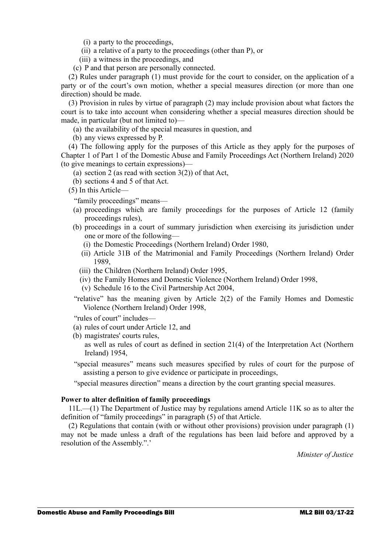- (i) a party to the proceedings,
- (ii) a relative of a party to the proceedings (other than P), or
- (iii) a witness in the proceedings, and
- (c) P and that person are personally connected.

(2) Rules under paragraph (1) must provide for the court to consider, on the application of a party or of the court's own motion, whether a special measures direction (or more than one direction) should be made.

(3) Provision in rules by virtue of paragraph (2) may include provision about what factors the court is to take into account when considering whether a special measures direction should be made, in particular (but not limited to)—

(a) the availability of the special measures in question, and

(b) any views expressed by P.

(4) The following apply for the purposes of this Article as they apply for the purposes of Chapter 1 of Part 1 of the Domestic Abuse and Family Proceedings Act (Northern Ireland) 2020 (to give meanings to certain expressions)—

- (a) section 2 (as read with section  $3(2)$ ) of that Act,
- (b) sections 4 and 5 of that Act.
- (5) In this Article—

"family proceedings" means—

- (a) proceedings which are family proceedings for the purposes of Article 12 (family proceedings rules),
- (b) proceedings in a court of summary jurisdiction when exercising its jurisdiction under one or more of the following—
	- (i) the Domestic Proceedings (Northern Ireland) Order 1980,
	- (ii) Article 31B of the Matrimonial and Family Proceedings (Northern Ireland) Order 1989,
	- (iii) the Children (Northern Ireland) Order 1995,
	- (iv) the Family Homes and Domestic Violence (Northern Ireland) Order 1998,
	- (v) Schedule 16 to the Civil Partnership Act 2004,

"relative" has the meaning given by Article 2(2) of the Family Homes and Domestic Violence (Northern Ireland) Order 1998,

"rules of court" includes—

- (a) rules of court under Article 12, and
- (b) magistrates' courts rules,
	- as well as rules of court as defined in section 21(4) of the Interpretation Act (Northern Ireland) 1954,
- "special measures" means such measures specified by rules of court for the purpose of assisting a person to give evidence or participate in proceedings,

"special measures direction" means a direction by the court granting special measures.

#### **Power to alter definition of family proceedings**

11L.—(1) The Department of Justice may by regulations amend Article 11K so as to alter the definition of "family proceedings" in paragraph (5) of that Article.

(2) Regulations that contain (with or without other provisions) provision under paragraph (1) may not be made unless a draft of the regulations has been laid before and approved by a resolution of the Assembly.".'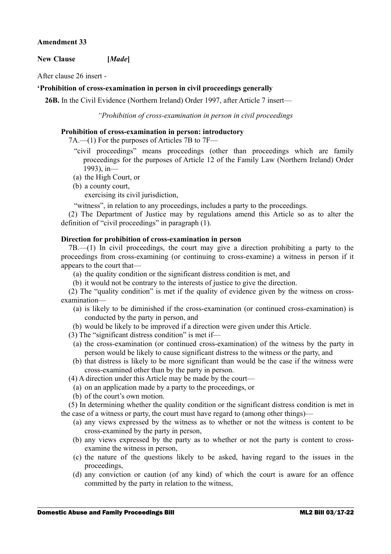#### **Amendment 33**

**New Clause [***Made***]**

After clause 26 insert -

#### **'Prohibition of cross-examination in person in civil proceedings generally**

**26B.** In the Civil Evidence (Northern Ireland) Order 1997, after Article 7 insert—

*"Prohibition of cross-examination in person in civil proceedings*

#### **Prohibition of cross-examination in person: introductory**

7A.—(1) For the purposes of Articles 7B to 7F—

- "civil proceedings" means proceedings (other than proceedings which are family proceedings for the purposes of Article 12 of the Family Law (Northern Ireland) Order 1993), in—
- (a) the High Court, or
- (b) a county court,

exercising its civil jurisdiction,

"witness", in relation to any proceedings, includes a party to the proceedings.

(2) The Department of Justice may by regulations amend this Article so as to alter the definition of "civil proceedings" in paragraph (1).

#### **Direction for prohibition of cross-examination in person**

7B.—(1) In civil proceedings, the court may give a direction prohibiting a party to the proceedings from cross-examining (or continuing to cross-examine) a witness in person if it appears to the court that—

- (a) the quality condition or the significant distress condition is met, and
- (b) it would not be contrary to the interests of justice to give the direction.

(2) The "quality condition" is met if the quality of evidence given by the witness on crossexamination—

- (a) is likely to be diminished if the cross-examination (or continued cross-examination) is conducted by the party in person, and
- (b) would be likely to be improved if a direction were given under this Article.
- (3) The "significant distress condition" is met if—
- (a) the cross-examination (or continued cross-examination) of the witness by the party in person would be likely to cause significant distress to the witness or the party, and
- (b) that distress is likely to be more significant than would be the case if the witness were cross-examined other than by the party in person.
- (4) A direction under this Article may be made by the court—
- (a) on an application made by a party to the proceedings, or
- (b) of the court's own motion.

(5) In determining whether the quality condition or the significant distress condition is met in the case of a witness or party, the court must have regard to (among other things)—

- (a) any views expressed by the witness as to whether or not the witness is content to be cross-examined by the party in person,
- (b) any views expressed by the party as to whether or not the party is content to crossexamine the witness in person,
- (c) the nature of the questions likely to be asked, having regard to the issues in the proceedings,
- (d) any conviction or caution (of any kind) of which the court is aware for an offence committed by the party in relation to the witness,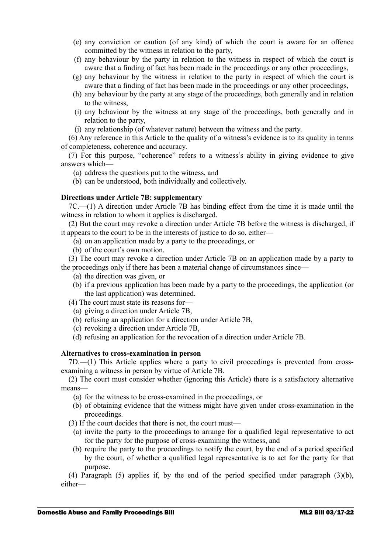- (e) any conviction or caution (of any kind) of which the court is aware for an offence committed by the witness in relation to the party,
- (f) any behaviour by the party in relation to the witness in respect of which the court is aware that a finding of fact has been made in the proceedings or any other proceedings,
- (g) any behaviour by the witness in relation to the party in respect of which the court is aware that a finding of fact has been made in the proceedings or any other proceedings,
- (h) any behaviour by the party at any stage of the proceedings, both generally and in relation to the witness,
- (i) any behaviour by the witness at any stage of the proceedings, both generally and in relation to the party,
- (j) any relationship (of whatever nature) between the witness and the party.

(6) Any reference in this Article to the quality of a witness's evidence is to its quality in terms of completeness, coherence and accuracy.

(7) For this purpose, "coherence" refers to a witness's ability in giving evidence to give answers which—

- (a) address the questions put to the witness, and
- (b) can be understood, both individually and collectively.

#### **Directions under Article 7B: supplementary**

7C.—(1) A direction under Article 7B has binding effect from the time it is made until the witness in relation to whom it applies is discharged.

(2) But the court may revoke a direction under Article 7B before the witness is discharged, if it appears to the court to be in the interests of justice to do so, either—

- (a) on an application made by a party to the proceedings, or
- (b) of the court's own motion.

(3) The court may revoke a direction under Article 7B on an application made by a party to the proceedings only if there has been a material change of circumstances since—

- (a) the direction was given, or
- (b) if a previous application has been made by a party to the proceedings, the application (or the last application) was determined.
- (4) The court must state its reasons for—
	- (a) giving a direction under Article 7B,
	- (b) refusing an application for a direction under Article 7B,
	- (c) revoking a direction under Article 7B,
	- (d) refusing an application for the revocation of a direction under Article 7B.

#### **Alternatives to cross-examination in person**

7D.—(1) This Article applies where a party to civil proceedings is prevented from crossexamining a witness in person by virtue of Article 7B.

(2) The court must consider whether (ignoring this Article) there is a satisfactory alternative means—

- (a) for the witness to be cross-examined in the proceedings, or
- (b) of obtaining evidence that the witness might have given under cross-examination in the proceedings.
- (3) If the court decides that there is not, the court must—
	- (a) invite the party to the proceedings to arrange for a qualified legal representative to act for the party for the purpose of cross-examining the witness, and
	- (b) require the party to the proceedings to notify the court, by the end of a period specified by the court, of whether a qualified legal representative is to act for the party for that purpose.

(4) Paragraph (5) applies if, by the end of the period specified under paragraph (3)(b), either—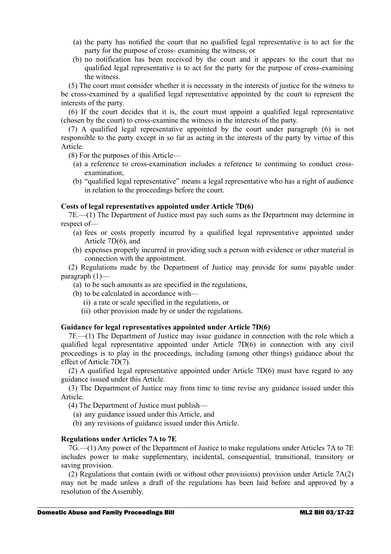- (a) the party has notified the court that no qualified legal representative is to act for the party for the purpose of cross- examining the witness, or
- (b) no notification has been received by the court and it appears to the court that no qualified legal representative is to act for the party for the purpose of cross-examining the witness.

(5) The court must consider whether it is necessary in the interests of justice for the witness to be cross-examined by a qualified legal representative appointed by the court to represent the interests of the party.

(6) If the court decides that it is, the court must appoint a qualified legal representative (chosen by the court) to cross-examine the witness in the interests of the party.

(7) A qualified legal representative appointed by the court under paragraph (6) is not responsible to the party except in so far as acting in the interests of the party by virtue of this Article.

(8) For the purposes of this Article—

- (a) a reference to cross-examination includes a reference to continuing to conduct crossexamination,
- (b) "qualified legal representative" means a legal representative who has a right of audience in relation to the proceedings before the court.

#### **Costs of legal representatives appointed under Article 7D(6)**

7E.—(1) The Department of Justice must pay such sums as the Department may determine in respect of—

- (a) fees or costs properly incurred by a qualified legal representative appointed under Article 7D(6), and
- (b) expenses properly incurred in providing such a person with evidence or other material in connection with the appointment.

(2) Regulations made by the Department of Justice may provide for sums payable under paragraph (1)—

- (a) to be such amounts as are specified in the regulations,
- (b) to be calculated in accordance with—
	- (i) a rate or scale specified in the regulations, or
	- (ii) other provision made by or under the regulations.

#### **Guidance for legal representatives appointed under Article 7D(6)**

7F.—(1) The Department of Justice may issue guidance in connection with the role which a qualified legal representative appointed under Article 7D(6) in connection with any civil proceedings is to play in the proceedings, including (among other things) guidance about the effect of Article 7D(7).

(2) A qualified legal representative appointed under Article 7D(6) must have regard to any guidance issued under this Article.

(3) The Department of Justice may from time to time revise any guidance issued under this Article.

(4) The Department of Justice must publish—

(a) any guidance issued under this Article, and

(b) any revisions of guidance issued under this Article.

#### **Regulations under Articles 7A to 7E**

7G.—(1) Any power of the Department of Justice to make regulations under Articles 7A to 7E includes power to make supplementary, incidental, consequential, transitional, transitory or saving provision.

(2) Regulations that contain (with or without other provisions) provision under Article 7A(2) may not be made unless a draft of the regulations has been laid before and approved by a resolution of the Assembly.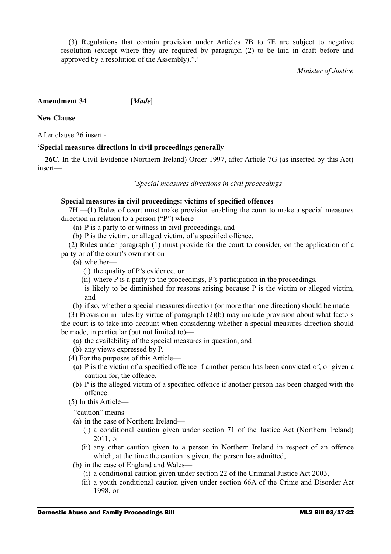(3) Regulations that contain provision under Articles 7B to 7E are subject to negative resolution (except where they are required by paragraph (2) to be laid in draft before and approved by a resolution of the Assembly).".'

*Minister of Justice*

**Amendment 34 [***Made***]**

**New Clause**

After clause 26 insert -

#### **'Special measures directions in civil proceedings generally**

**26C.** In the Civil Evidence (Northern Ireland) Order 1997, after Article 7G (as inserted by this Act) insert—

*"Special measures directions in civil proceedings*

#### **Special measures in civil proceedings: victims of specified offences**

7H.—(1) Rules of court must make provision enabling the court to make a special measures direction in relation to a person ("P") where—

- (a) P is a party to or witness in civil proceedings, and
- (b) P is the victim, or alleged victim, of a specified offence.

(2) Rules under paragraph (1) must provide for the court to consider, on the application of a party or of the court's own motion—

- (a) whether—
	- (i) the quality of P's evidence, or
	- (ii) where P is a party to the proceedings, P's participation in the proceedings,
	- is likely to be diminished for reasons arising because  $P$  is the victim or alleged victim, and
- (b) if so, whether a special measures direction (or more than one direction) should be made.

(3) Provision in rules by virtue of paragraph (2)(b) may include provision about what factors the court is to take into account when considering whether a special measures direction should be made, in particular (but not limited to)—

- (a) the availability of the special measures in question, and
- (b) any views expressed by P.

(4) For the purposes of this Article—

- (a) P is the victim of a specified offence if another person has been convicted of, or given a caution for, the offence,
- (b) P is the alleged victim of a specified offence if another person has been charged with the offence.
- (5) In this Article—

"caution" means—

- (a) in the case of Northern Ireland—
	- (i) a conditional caution given under section 71 of the Justice Act (Northern Ireland) 2011, or
	- (ii) any other caution given to a person in Northern Ireland in respect of an offence which, at the time the caution is given, the person has admitted,
- (b) in the case of England and Wales—
	- (i) a conditional caution given under section 22 of the Criminal Justice Act 2003,
	- (ii) a youth conditional caution given under section 66A of the Crime and Disorder Act 1998, or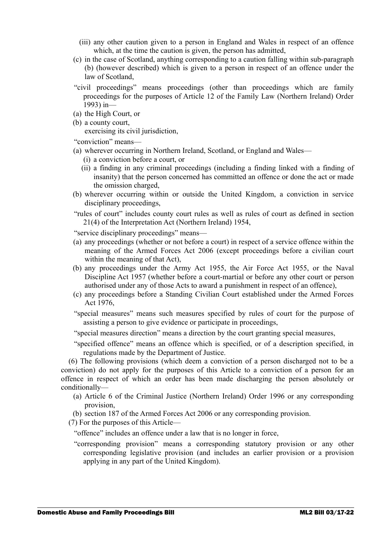- (iii) any other caution given to a person in England and Wales in respect of an offence which, at the time the caution is given, the person has admitted,
- (c) in the case of Scotland, anything corresponding to a caution falling within sub-paragraph (b) (however described) which is given to a person in respect of an offence under the law of Scotland,
- "civil proceedings" means proceedings (other than proceedings which are family proceedings for the purposes of Article 12 of the Family Law (Northern Ireland) Order 1993) in—
- (a) the High Court, or
- (b) a county court,

exercising its civil jurisdiction,

"conviction" means—

- (a) wherever occurring in Northern Ireland, Scotland, or England and Wales—
	- (i) a conviction before a court, or
	- (ii) a finding in any criminal proceedings (including a finding linked with a finding of insanity) that the person concerned has committed an offence or done the act or made the omission charged,
- (b) wherever occurring within or outside the United Kingdom, a conviction in service disciplinary proceedings,
- "rules of court" includes county court rules as well as rules of court as defined in section 21(4) of the Interpretation Act (Northern Ireland) 1954,

"service disciplinary proceedings" means—

- (a) any proceedings (whether or not before a court) in respect of a service offence within the meaning of the Armed Forces Act 2006 (except proceedings before a civilian court within the meaning of that Act),
- (b) any proceedings under the Army Act 1955, the Air Force Act 1955, or the Naval Discipline Act 1957 (whether before a court-martial or before any other court or person authorised under any of those Acts to award a punishment in respect of an offence),
- (c) any proceedings before a Standing Civilian Court established under the Armed Forces Act 1976,
- "special measures" means such measures specified by rules of court for the purpose of assisting a person to give evidence or participate in proceedings,
- "special measures direction" means a direction by the court granting special measures,
- "specified offence" means an offence which is specified, or of a description specified, in regulations made by the Department of Justice.

(6) The following provisions (which deem a conviction of a person discharged not to be a conviction) do not apply for the purposes of this Article to a conviction of a person for an offence in respect of which an order has been made discharging the person absolutely or conditionally—

- (a) Article 6 of the Criminal Justice (Northern Ireland) Order 1996 or any corresponding provision,
- (b) section 187 of the Armed Forces Act 2006 or any corresponding provision.
- (7) For the purposes of this Article—
	- "offence" includes an offence under a law that is no longer in force,
	- "corresponding provision" means a corresponding statutory provision or any other corresponding legislative provision (and includes an earlier provision or a provision applying in any part of the United Kingdom).